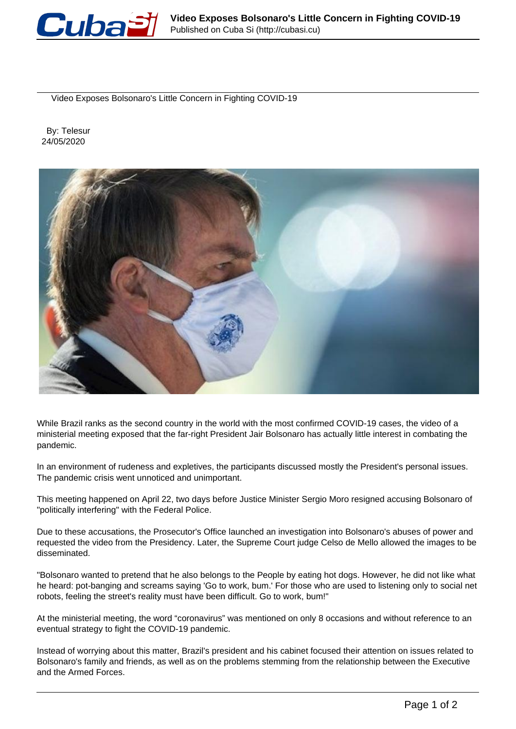

Video Exposes Bolsonaro's Little Concern in Fighting COVID-19

 By: Telesur 24/05/2020



While Brazil ranks as the second country in the world with the most confirmed COVID-19 cases, the video of a ministerial meeting exposed that the far-right President Jair Bolsonaro has actually little interest in combating the pandemic.

In an environment of rudeness and expletives, the participants discussed mostly the President's personal issues. The pandemic crisis went unnoticed and unimportant.

This meeting happened on April 22, two days before Justice Minister Sergio Moro resigned accusing Bolsonaro of "politically interfering" with the Federal Police.

Due to these accusations, the Prosecutor's Office launched an investigation into Bolsonaro's abuses of power and requested the video from the Presidency. Later, the Supreme Court judge Celso de Mello allowed the images to be disseminated.

"Bolsonaro wanted to pretend that he also belongs to the People by eating hot dogs. However, he did not like what he heard: pot-banging and screams saying 'Go to work, bum.' For those who are used to listening only to social net robots, feeling the street's reality must have been difficult. Go to work, bum!"

At the ministerial meeting, the word "coronavirus" was mentioned on only 8 occasions and without reference to an eventual strategy to fight the COVID-19 pandemic.

Instead of worrying about this matter, Brazil's president and his cabinet focused their attention on issues related to Bolsonaro's family and friends, as well as on the problems stemming from the relationship between the Executive and the Armed Forces.